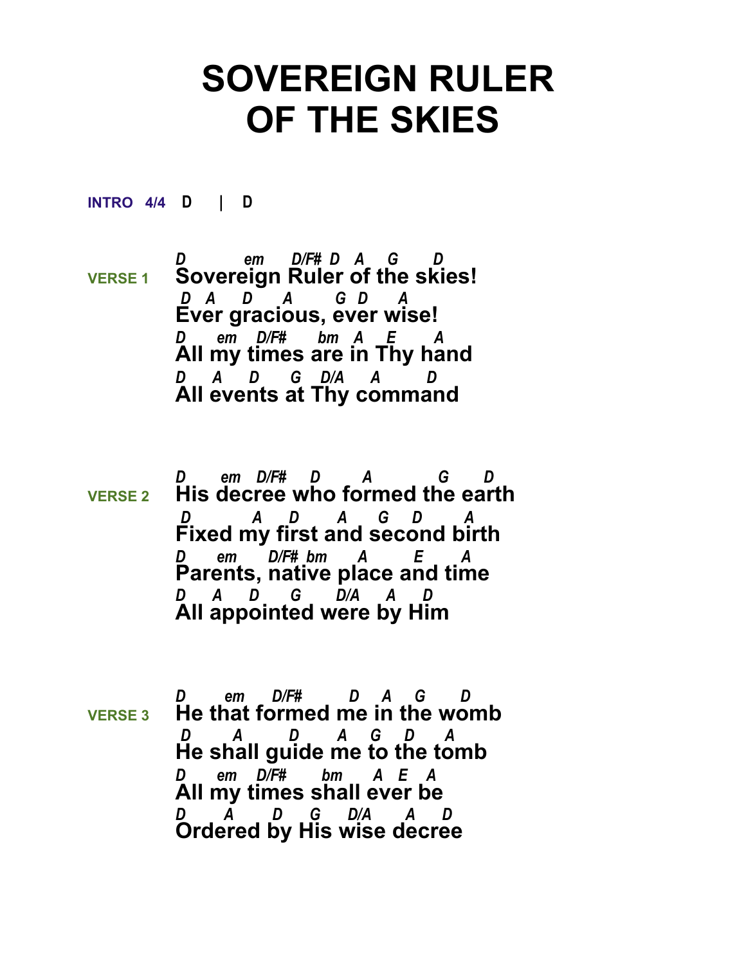## **SOVEREIGN RULER OF THE SKIES**

**INTRO 4/4 D | D** 

*D em D/F# D A G D*  **VERSE 1 Sovereign Ruler of the skies!**  *D A D A G D A* **Ever gracious, ever wise!** *D em D/F# bm A E A*  **All my times are in Thy hand** *D A D G D/A A D*  **All events at Thy command**

- *D em D/F# D A G D*  **VERSE 2 His decree who formed the earth**  *D A D A G D A* **Fixed my first and second birth** *D em D/F# bm A E A*  **Parents, native place and time** *D A D G D/A A D*  **All appointed were by Him**
- *D em D/F# D A G D*  **VERSE 3 He that formed me in the womb**  *D A D A G D A* **He shall guide me to the tomb** *D em D/F# bm A E A*  **All my times shall ever be** *D A D G D/A A D*  **Ordered by His wise decree**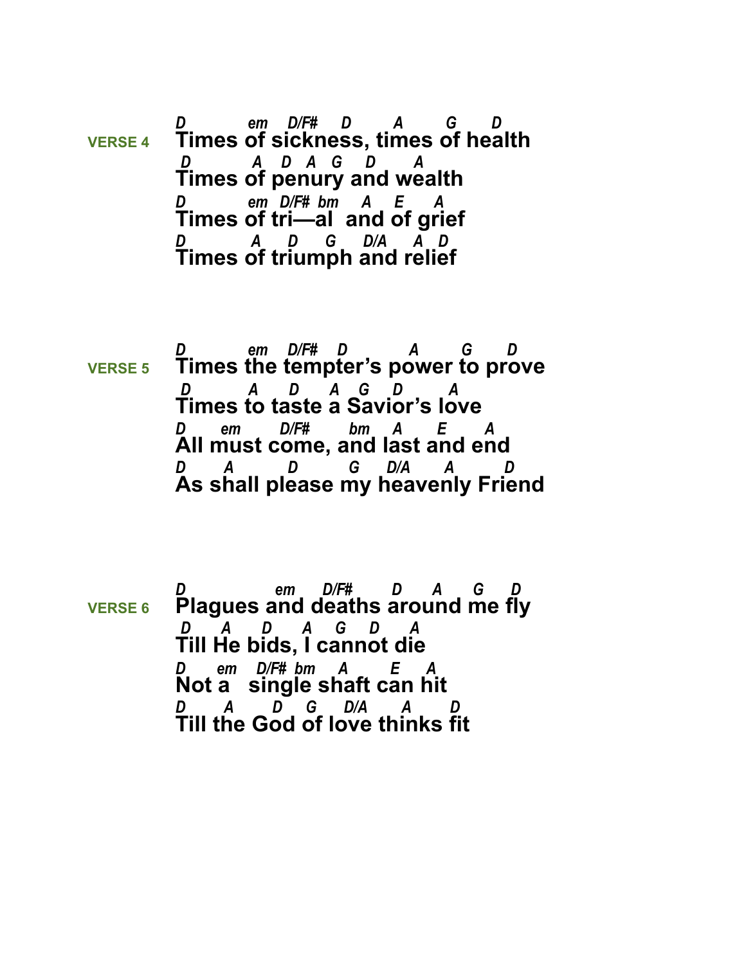*D em D/F# D A G D*  **VERSE 4 Times of sickness, times of health**  *D A D A G D A* **Times of penury and wealth** *D em D/F# bm A E A*  **Times of tri—al and of grief**  *D A D G D/A A D*  **Times of triumph and relief** 

*D em D/F# D A G D*  **VERSE 5 Times the tempter's power to prove**  *D A D A G D A* **Times to taste a Savior's love** *D em D/F# bm A E A*  **All must come, and last and end** *D A D G D/A A D*  **As shall please my heavenly Friend**

*D em D/F# D A G D*  **VERSE 6 Plagues and deaths around me fly**  *D A D A G D A* **Till He bids, I cannot die** *D em D/F# bm A E A*  **Not a single shaft can hit** *D A D G D*/A **Till the God of love thinks fit**